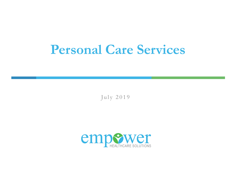# **Personal Care Services**

July 2019

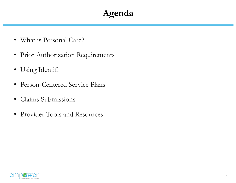## **Agenda**

- What is Personal Care?
- Prior Authorization Requirements
- Using Identifi
- Person-Centered Service Plans
- Claims Submissions
- Provider Tools and Resources

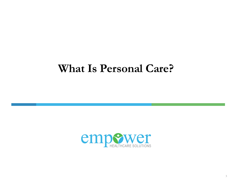# **What Is Personal Care?**

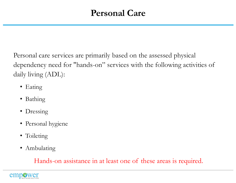#### **Personal Care**

Personal care services are primarily based on the assessed physical dependency need for "hands-on" services with the following activities of daily living (ADL):

- Eating
- Bathing
- Dressing
- Personal hygiene
- Toileting
- Ambulating

Hands-on assistance in at least one of these areas is required.

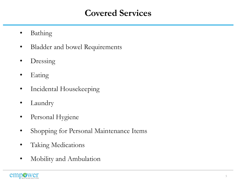#### **Covered Services**

- Bathing
- Bladder and bowel Requirements
- Dressing
- Eating
- Incidental Housekeeping
- Laundry
- Personal Hygiene
- Shopping for Personal Maintenance Items
- Taking Medications
- Mobility and Ambulation

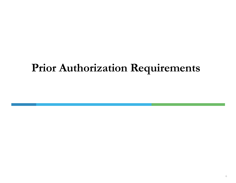# **Prior Authorization Requirements**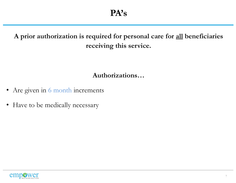#### **A prior authorization is required for personal care for all beneficiaries receiving this service.**

**Authorizations…**

- Are given in 6 month increments
- Have to be medically necessary

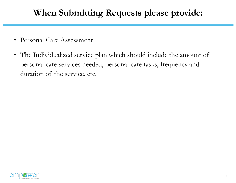## **When Submitting Requests please provide:**

- Personal Care Assessment
- The Individualized service plan which should include the amount of personal care services needed, personal care tasks, frequency and duration of the service, etc.

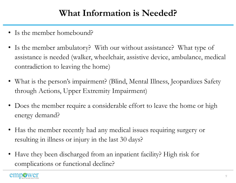#### **What Information is Needed?**

- Is the member homebound?
- Is the member ambulatory? With our without assistance? What type of assistance is needed (walker, wheelchair, assistive device, ambulance, medical contradiction to leaving the home)
- What is the person's impairment? (Blind, Mental Illness, Jeopardizes Safety through Actions, Upper Extremity Impairment)
- Does the member require a considerable effort to leave the home or high energy demand?
- Has the member recently had any medical issues requiring surgery or resulting in illness or injury in the last 30 days?
- Have they been discharged from an inpatient facility? High risk for complications or functional decline?

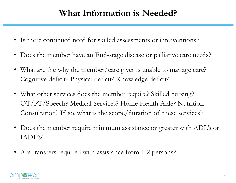#### **What Information is Needed?**

- Is there continued need for skilled assessments or interventions?
- Does the member have an End-stage disease or palliative care needs?
- What are the why the member/care giver is unable to manage care? Cognitive deficit? Physical deficit? Knowledge deficit?
- What other services does the member require? Skilled nursing? OT/PT/Speech? Medical Services? Home Health Aide? Nutrition Consultation? If so, what is the scope/duration of these services?
- Does the member require minimum assistance or greater with ADL's or IADL's?
- Are transfers required with assistance from 1-2 persons?

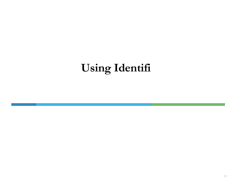# **Using Identifi**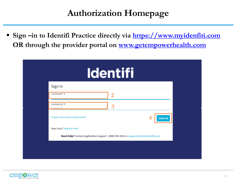#### **Authorization Homepage**

 **Sign –in to Identifi Practice directly via [https://www.myidenfiti.com](https://www.myidenfiti.com/) OR through the provider portal on [www.getempowerhealth.com](http://www.getempowerhealth.com/)**

|                                | <b>Identifi</b>                                                                      |
|--------------------------------|--------------------------------------------------------------------------------------|
| Sign In                        |                                                                                      |
| <b>USERNAME *</b>              | 2                                                                                    |
| <b>PASSWORD *</b><br>Password  | 3                                                                                    |
| Forgot username or password?   | <b>SIGN IN</b>                                                                       |
| <b>New User? Register Here</b> |                                                                                      |
|                                | Need Help? Contact Application Support - (888) 959-4031 or support@evolenthealth.com |

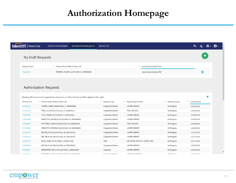## **Authorization Homepage**

| <b>Identifi</b> PRACTICE | POPULATION SUMMARY                          | AUTHORIZATION REQUESTS                    | <b>REPORTS</b> <sub>2</sub> |                               | E.<br>$\mathsf{Q}$ | 描く | $\boldsymbol{\Theta}$ |
|--------------------------|---------------------------------------------|-------------------------------------------|-----------------------------|-------------------------------|--------------------|----|-----------------------|
| My Draft Requests        |                                             |                                           |                             |                               |                    |    |                       |
| <b>Request Type</b>      | $\hat{\tau}$ Patient Name (DOB, Gender, ID) |                                           | $\div$                      | <b>Last Updated Date/Time</b> | $\sim$             |    |                       |
| Inpatient                |                                             | BREWER, ALEXIS (12/07/1945, F, 200006846) |                             | 09/24/2018 01:50:25 PM        |                    |    |                       |
|                          |                                             |                                           |                             |                               |                    |    |                       |

#### **Authorization Requests**

|                    | Showing 100 most recent requests (to view more or refine the list, use filter option to the right) |                          |                                  |                            |                          |
|--------------------|----------------------------------------------------------------------------------------------------|--------------------------|----------------------------------|----------------------------|--------------------------|
| <b>Reference #</b> | ٠.<br>Patient Name (DOB, Gender, ID)                                                               | ÷<br><b>Request Type</b> | $\hat{\div}$ Requesting Provider | ÷<br><b>Request Status</b> | ⇔<br><b>Created Date</b> |
| D7003513           | CHIMDI, LYNDA (04/18/1941, F, 200005889)                                                           | Outpatient/Home          | <b>LAUREN DRAKE</b>              | In Progress                | 11/29/2018               |
| D7003510           | TRAIL, ALANIS (01/15/1921, F, 200003527)                                                           | Outpatient/Home          | <b>PAUL WILSON</b>               | In Progress                | 11/29/2018               |
| D7003499           | COLE, MARIE (03/23/1978, F, 220019103)                                                             | Outpatient/Home          | <b>LAUREN DRAKE</b>              | In Progress                | 11/29/2018               |
| D7003496           | HAMILTON, DONALD (02/03/1946, M, 200008860)                                                        | Outpatient/Home          | <b>LAUREN DRAKE</b>              | In Progress                | 11/29/2018               |
| D7003481           | HOFFMAN, GERALD (02/20/1937, M, 200010429)                                                         | Outpatient/Home          | <b>PAUL WILSON</b>               | In Progress                | 11/28/2018               |
| D7003480           | HAMILTON, DONALD (02/03/1946, M, 200008860)                                                        | Outpatient/Home          | <b>LAUREN DRAKE</b>              | In Progress                | 11/28/2018               |
| D7003479           | BACON, ALAN (06/18/1947, M, 200010547)                                                             | Outpatient/Home          | <b>LAUREN DRAKE</b>              | In Progress                | 11/27/2018               |
| D7003478           | BACON, ALAN (06/18/1947, M, 200010547)                                                             | Outpatient/Home          | <b>LAUREN DRAKE</b>              | In Progress                | 11/27/2018               |
| D7003472           | REED, DARA (10/27/1948, F, 200012598)                                                              | <b>DME</b>               | ABC HOME MEDICAL SUPPLY INC      | In Progress                | 11/27/2018               |
| D7003469           | BACON, ALAN (06/18/1947, M, 200010547)                                                             | Outpatient/Home          | <b>LAUREN DRAKE</b>              | In Progress                | 11/27/2018               |
| D7003467           | REINHARDT, DELIA (07/30/1954, F, 200002092)                                                        | Inpatient                | <b>LAUREN DRAKE</b>              | In Progress                | 11/26/2018               |
| <b>DZ0022E2</b>    | HOEEMAN, CERALD (02/20/1027 M 200010420)                                                           | Outpotiont/Home          | CEDALD HOFFMAN                   | In Drogrape                | $11$ <i>locionio</i>     |

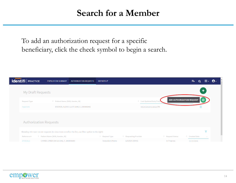#### **Search for a Member**

To add an authorization request for a specific beneficiary, click the check symbol to begin a search.

| TRAINING<br><b>Identifi</b>   PRACTICE | POPULATION SUMMARY                       | <b>AUTHORIZATION REQUESTS</b>                                                                      | <b>REPORTS</b> <sub>2</sub> |                                  |                                  | 每              | 田平<br>Q      | $\boldsymbol{\Theta}$ |
|----------------------------------------|------------------------------------------|----------------------------------------------------------------------------------------------------|-----------------------------|----------------------------------|----------------------------------|----------------|--------------|-----------------------|
| My Draft Requests                      |                                          |                                                                                                    |                             |                                  |                                  |                | $\mathbf{+}$ |                       |
|                                        |                                          |                                                                                                    |                             |                                  |                                  |                |              |                       |
| <b>Request Type</b>                    | $\hat{=}$ Patient Name (DOB, Gender, ID) |                                                                                                    |                             | ♦ Last Updated Date/Time         | <b>ADD AUTHORIZATION REQUEST</b> |                | $\odot$      |                       |
| Inpatient                              |                                          | BREWER, ALEXIS (12/07/1945, F, 200006846)                                                          |                             | 09/24/2018 01:50:25 PM           |                                  |                |              |                       |
|                                        |                                          |                                                                                                    |                             |                                  |                                  |                |              |                       |
|                                        |                                          |                                                                                                    |                             |                                  |                                  |                |              |                       |
| <b>Authorization Requests</b>          |                                          |                                                                                                    |                             |                                  |                                  |                |              |                       |
|                                        |                                          |                                                                                                    |                             |                                  |                                  |                |              |                       |
|                                        |                                          | Showing 100 most recent requests (to view more or refine the list, use filter option to the right) |                             |                                  |                                  |                |              |                       |
| Reference #                            | $\hat{=}$ Patient Name (DOB, Gender, ID) |                                                                                                    | $\hat{=}$ Request Type      | $\hat{\div}$ Requesting Provider | $\hat{=}$ Request Status         | ♦ Created Date |              |                       |
| D7003513                               | CHIMDI, LYNDA (04/18/1941, F, 200005889) |                                                                                                    | Outpatient/Home             | <b>LAUREN DRAKE</b>              | In Progress                      | 11/29/2018     |              |                       |

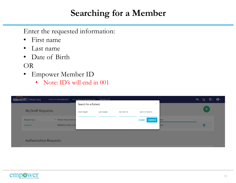#### **Searching for a Member**

Enter the requested information:

- First name
- Last name
- Date of Birth

#### OR

- Empower Member ID
	- Note: ID's will end in 001

| <b>Identifi</b>   PRACTICE    | POPULATION SUMMARY      | AUTHORIZATION REQUESTS | REPORTS <sub>C</sub> |                   |                      |             | $\mathbf{H} \leftarrow$<br>$\boldsymbol{\Theta}$<br>手<br>Q |
|-------------------------------|-------------------------|------------------------|----------------------|-------------------|----------------------|-------------|------------------------------------------------------------|
|                               |                         | Search for a Patient   |                      |                   | $\times$             |             |                                                            |
| <b>My Draft Requests</b>      |                         | <b>FIRST NAME</b>      | <b>LAST NAME</b>     | <b>PATIENT ID</b> | <b>DATE OF BIRTH</b> |             | ٠                                                          |
| <b>Request Type</b>           | ♦ Patient Name (DOB, Ge |                        |                      |                   | <b>CLEAR SEARCH</b>  | <b>Time</b> | $\overline{\phantom{a}}$                                   |
| Inpatient                     | BREWER, ALEXIS (12/0)   |                        |                      |                   |                      | 5PM         |                                                            |
|                               |                         |                        |                      |                   |                      |             |                                                            |
| <b>Authorization Requests</b> |                         |                        |                      |                   |                      |             |                                                            |

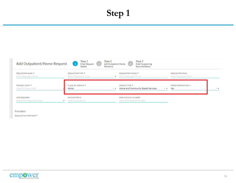## **Step 1**



Providers

REQUESTING PROVIDER \*

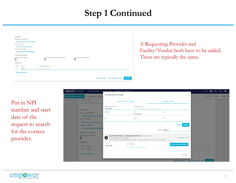#### **Step 1 Continued**

| Providers         |                               |                                           |                           |                       |                             |                 |
|-------------------|-------------------------------|-------------------------------------------|---------------------------|-----------------------|-----------------------------|-----------------|
|                   |                               |                                           |                           |                       |                             |                 |
|                   | <b>REQUESTING PROVIDER *</b>  |                                           |                           |                       |                             |                 |
|                   | + ADD REQUESTING PROVIDER     |                                           |                           |                       |                             |                 |
| FACILITY/VENDOR * |                               |                                           |                           |                       |                             |                 |
|                   | <b>+ ADD FACILITY/VENDOR</b>  |                                           |                           |                       |                             |                 |
|                   | <b>RENDERING PROVIDER</b>     |                                           |                           |                       |                             |                 |
|                   | + ADD RENDERING PROVIDER      |                                           |                           |                       |                             |                 |
|                   | <b>Third Party Liability</b>  |                                           |                           |                       |                             |                 |
|                   | <b>MOTOR VEHICLE ACCIDENT</b> | <b>EMPLOYMENT (WORKER'S COMPENSATION)</b> | ANOTHER PARTY RESPONSIBLE |                       |                             |                 |
| □                 |                               | ◻                                         | □                         |                       |                             |                 |
| Diagnoses         |                               |                                           |                           |                       |                             |                 |
| Primary Type      |                               | <b>Diagnosis Description</b>              |                           |                       |                             |                 |
| $\circledast$     | $ICD-10$<br>$\times$ $\times$ | Select a Description                      |                           |                       |                             |                 |
| ٠                 | <b>ADD DIAGNOSIS</b>          |                                           |                           |                       |                             |                 |
|                   |                               |                                           |                           |                       |                             |                 |
|                   |                               |                                           |                           | <b>CANCEL REQUEST</b> | <b>SAVE DRAFT AND CLOSE</b> | <b>CONTINUE</b> |
|                   |                               |                                           |                           |                       |                             |                 |

A Requesting Provider and Facility/Vendor both have to be added. These are typically the same.

Put in NPI number and start date of the request to search for the correct provider.

| <b>dentifi</b> REVIEW<br><b>REQUEST QUEUE</b><br><b>A PATTERSON, SHARLLA -</b><br>11/16/1965 (53), F, E073901 | DRAFT REQUESTS REPORTS OF RESOURCES<br>Add Requesting Provider |                                                                                                                                                         |                                     | ⊞-<br>Α.<br>專<br>$\rm \times$<br><b>UMØ</b><br><b>D</b> e<br>ELIGIBLE ✔ CARE ✔ |
|---------------------------------------------------------------------------------------------------------------|----------------------------------------------------------------|---------------------------------------------------------------------------------------------------------------------------------------------------------|-------------------------------------|--------------------------------------------------------------------------------|
| AOR REQUIRED<br>Select AOR Required value                                                                     |                                                                | <b>Select From Patient's Contacts</b>                                                                                                                   | <b>Search All Providers</b>         |                                                                                |
| Providers                                                                                                     | SERVICE START DATE *<br>04/08/2019                             | PROVIDER NAME<br>Enter 'Last Name, First Name' or Organization                                                                                          |                                     |                                                                                |
| <b>REQUESTING PROVIDER *</b><br>+ ADD REQUESTING PROVIDE                                                      | SPECIALTY                                                      | NPI<br>1912357948<br>٠                                                                                                                                  | TIN                                 |                                                                                |
| <b>FACILITY/VENDOR *</b>                                                                                      | CITY                                                           | STATE                                                                                                                                                   | ZIP<br>٠                            |                                                                                |
| <b>+</b> ADD FACILITY/VENDOR<br><b>RENDERING PROVIDER</b>                                                     |                                                                |                                                                                                                                                         | <b>SEARCH</b><br><b>CLEAR</b>       |                                                                                |
| + ADD RENDERING PROVIDER<br>Third Party Liability                                                             |                                                                |                                                                                                                                                         | SORT BY Network                     |                                                                                |
| MOTOR VEHICLE ACCIDENT<br>□                                                                                   | [品]<br>NPI: 1912357948 · TIN: 463902994                        | KAH DEVELOPMENT 4 LLC DBA KINDRED AT HOME HOME HEALTH<br>1509 E MAIN ST, STE 6, RUSSELLVILLE, AR, 72801 . Phone: (512) 338-7958 . Fax: No Fax Available | In Network - TIER 1                 |                                                                                |
| Diagnoses<br>Primary Type<br>$ICD-10$<br>$\circ$                                                              | TIN<br>463902994                                               | FAX NUMBER                                                                                                                                              | <b>SELECT &amp; SAVE AS CONTACT</b> |                                                                                |
| <b>+</b> ADD DIAGNOSIS                                                                                        |                                                                |                                                                                                                                                         | $1-1$ of $1$                        |                                                                                |
|                                                                                                               |                                                                |                                                                                                                                                         |                                     | <b>CANCEL REQUEST SAVE DRAFT AND CLOSE CONTINUE</b>                            |

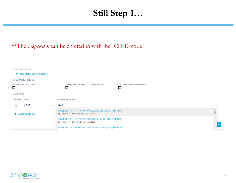#### **Still Step 1…**

#### \*\*The diagnosis can be entered in with the ICD 10 code

| <b>RENDERING PROVIDER</b><br><b>ADD RENDERING PROVIDER</b><br>÷   |                                                                                                                |    |
|-------------------------------------------------------------------|----------------------------------------------------------------------------------------------------------------|----|
| Third Party Liability<br>MOTOR VEHICLE ACCIDENT<br>□<br>Diagnoses | <b>EMPLOYMENT (WORKER'S COMPENSATION)</b><br>ANOTHER PARTY RESPONSIBLE<br>$\Box$                               |    |
| Primary Type                                                      | <b>Diagnosis Description</b>                                                                                   |    |
| $ICD-10$<br>$\circledast$                                         | t44.9<br>长天                                                                                                    |    |
| <b>ADD DIAGNOSIS</b>                                              | ADVERS EFF OTH RX PRIM AFF AUTONOMIC NERVOUS SYS (T44.995)<br>Specificity: N · Effective Date: 01/01/2009      |    |
|                                                                   | ADVERS EFF OTH RX PRIM AFF AUTONOMIC NS INIT ENC (T44.995A)<br>Specificity: Y · Effective Date: 01/01/2009     |    |
|                                                                   | ADVERS EFF OTH RX PRIM AFF AUTONOMIC NS SEQUELA (T44.995S)<br>Consulations M - Fills sales Preservative innum- | UE |

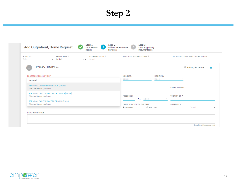#### **Step 2**

| SOURCE <sup>*</sup><br>Select  | REVIEW TYPE *<br>Initial<br>$\cdot$        | <b>REVIEW PRIORITY *</b><br>$x -$ Select | REVIEW RECEIVED DATE/TIME *<br>$\cdot$ |               |                   |                      | RECEIPT OF COMPLETE CLINICAL REVIEW |   |
|--------------------------------|--------------------------------------------|------------------------------------------|----------------------------------------|---------------|-------------------|----------------------|-------------------------------------|---|
|                                | Primary - Review 01                        |                                          |                                        |               |                   |                      | <sup>9</sup> Primary Procedure      | 侖 |
| <b>PROCEDURE DESCRIPTION *</b> |                                            |                                          | <b>MODIFIER 1</b>                      |               | <b>MODIFIER 2</b> |                      |                                     |   |
| personal                       |                                            |                                          | Select                                 |               | Select<br>$\cdot$ | $\cdot$              |                                     |   |
| Effective Date: 01/01/2003     | PERSONAL CARE ITEM NOS EACH (S5199)        |                                          |                                        |               |                   | <b>BILLED AMOUNT</b> |                                     |   |
| Effective Date: 07/01/2002     | PERSONAL CARE SERVICES PER 15 MINS (T1019) |                                          | <b>FREQUENCY</b>                       |               |                   | TO START ON *        |                                     |   |
|                                |                                            |                                          |                                        | Select<br>Per | $\cdot$           |                      |                                     |   |
| Effective Date: 07/01/2002     | PERSONAL CARE SERVICES PER DIEM (T1020)    |                                          | <b>ENTER DURATION OR END DATE</b>      |               |                   | DURATION *           |                                     |   |
|                                |                                            |                                          | <b><i>O</i></b> Duration               |               | ● End Date        |                      | Select                              |   |
| <b>DRUG INFORMATION</b>        |                                            |                                          |                                        |               |                   |                      |                                     |   |

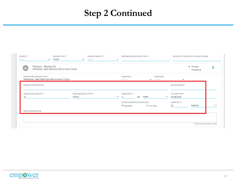## **Step 2 Continued**

|                                                                   |                                            |                                                     |                   |                                                     | <sup>®</sup> Primary<br>Procedure | 侖                 |
|-------------------------------------------------------------------|--------------------------------------------|-----------------------------------------------------|-------------------|-----------------------------------------------------|-----------------------------------|-------------------|
|                                                                   | $30 -$                                     | <b>MODIFIER 1</b><br>Select                         | <b>MODIFIER 2</b> | $\overline{\phantom{a}}$                            |                                   |                   |
|                                                                   |                                            |                                                     |                   | <b>BILLED AMOUNT</b>                                |                                   |                   |
| FOR REQUESTED TYPE *<br>Unit(s)                                   | $20 - 77$                                  | FREQUENCY *<br>Week<br>5<br>Per                     | $20 - 70$         | TO START ON *<br>04/08/2019                         |                                   |                   |
|                                                                   |                                            | ENTER DURATION OR END DATE<br><sup>®</sup> Duration |                   | <b>DURATION *</b><br>12                             | Week(s)                           | $\times$ $\times$ |
|                                                                   |                                            |                                                     |                   |                                                     |                                   |                   |
| Primary - Review 01<br>PERSONAL CARE SERVICES PER 15 MINS (T1019) | PERSONAL CARE SERVICES PER 15 MINS (T1019) |                                                     |                   | Initial<br>Select<br>$\bullet$ Select<br>C End Date |                                   |                   |

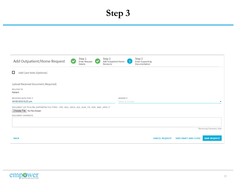## **Step 3**



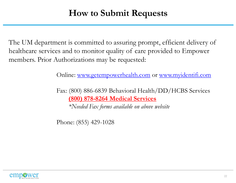#### **How to Submit Requests**

The UM department is committed to assuring prompt, efficient delivery of healthcare services and to monitor quality of care provided to Empower members. Prior Authorizations may be requested:

Online: [www.getempowerhealth.com](http://www.getempowerhealth.com/) or [www.myidentifi.com](http://www.myidentifi.com/)

Fax: (800) 886-6839 Behavioral Health/DD/HCBS Services **(800) 878-8264 Medical Services**  *\*Needed Fax forms available on above website*

Phone: (855) 429-1028

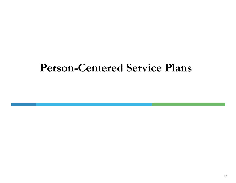# **Person-Centered Service Plans**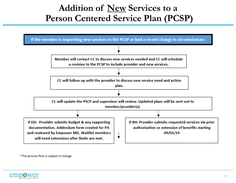#### **Addition of New Services to a Person Centered Service Plan (PCSP)**



\*This process flow is subject to change

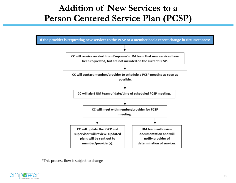#### **Addition of New Services to a Person Centered Service Plan (PCSP)**



\*This process flow is subject to change

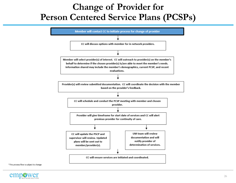#### **Change of Provider for Person Centered Service Plans (PCSPs)**



\*This process flow is subject to change

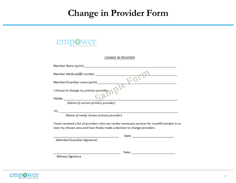#### **Change in Provider Form**



#### **CHANGE IN PROVIDER**

| Member Name (print)                     |
|-----------------------------------------|
| Member Medicaid/ID number               |
| Member/Guardian name (print)            |
| I choose to change my primary provider: |
| FROM:                                   |
| (Name of current primary provider)      |

I have received a list of providers who can render necessary services for myself/member in or near my chosen area and have freely made a decision to change providers.

|                            | Date: |  |
|----------------------------|-------|--|
| Member/Guardian Signature) |       |  |

Date:  $\qquad \qquad$ 

Witness Signature

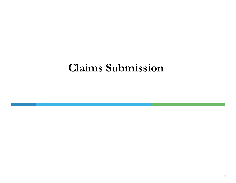# **Claims Submission**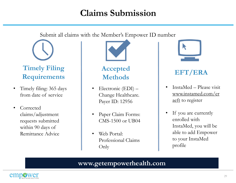#### **Claims Submission**

Submit all claims with the Member's Empower ID number

# **Timely Filing Requirements**

- Timely filing: 365 days from date of service
- Corrected claims/adjustment requests submitted within 90 days of Remittance Advice



#### **Accepted Methods**

- Electronic (EDI) Change Healthcare. Payer ID: 12956
- Paper Claim Forms: CMS-1500 or UB04
- Web Portal: Professional Claims Only



#### **EFT/ERA**

- InstaMed Please visit www.instamed.com/er aeft to register
- If you are currently enrolled with InstaMed, you will be able to add Empower to your InstaMed profile

#### **www.getempowerhealth.com**

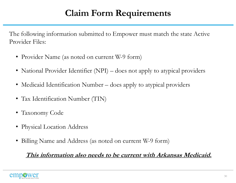## **Claim Form Requirements**

The following information submitted to Empower must match the state Active Provider Files:

- Provider Name (as noted on current W-9 form)
- National Provider Identifier (NPI) does not apply to atypical providers
- Medicaid Identification Number does apply to atypical providers
- Tax Identification Number (TIN)
- Taxonomy Code
- Physical Location Address
- Billing Name and Address (as noted on current W-9 form)

#### **This information also needs to be current with Arkansas Medicaid.**

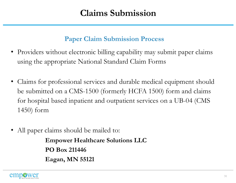#### **Paper Claim Submission Process**

- Providers without electronic billing capability may submit paper claims using the appropriate National Standard Claim Forms
- Claims for professional services and durable medical equipment should be submitted on a CMS-1500 (formerly HCFA 1500) form and claims for hospital based inpatient and outpatient services on a UB-04 (CMS 1450) form
- All paper claims should be mailed to:

**Empower Healthcare Solutions LLC PO Box 211446 Eagan, MN 55121**

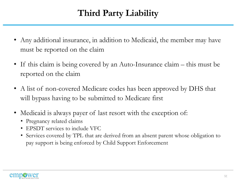# **Third Party Liability**

- Any additional insurance, in addition to Medicaid, the member may have must be reported on the claim
- If this claim is being covered by an Auto-Insurance claim this must be reported on the claim
- A list of non-covered Medicare codes has been approved by DHS that will bypass having to be submitted to Medicare first
- Medicaid is always payer of last resort with the exception of:
	- Pregnancy related claims
	- EPSDT services to include VFC
	- Services covered by TPL that are derived from an absent parent whose obligation to pay support is being enforced by Child Support Enforcement

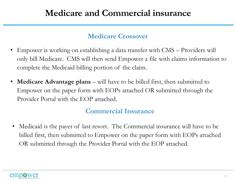#### **Medicare and Commercial insurance**

#### **Medicare Crossover**

- Empower is working on establishing a data transfer with CMS Providers will only bill Medicare. CMS will then send Empower a file with claims information to complete the Medicaid billing portion of the claim.
- **Medicare Advantage plans** will have to be billed first, then submitted to Empower on the paper form with EOPs attached OR submitted through the Provider Portal with the EOP attached.

#### **Commercial Insurance**

• Medicaid is the payer of last resort. The Commercial insurance will have to be billed first, then submitted to Empower on the paper form with EOPs attached OR submitted through the Provider Portal with the EOP attached.

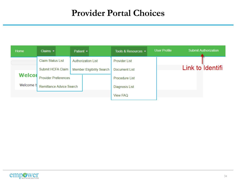#### **Provider Portal Choices**

| Home          | Claims $\blacktriangleright$ | Patient $\blacktriangleright$    |                | Tools & Resources $\blacktriangleright$ | <b>User Profile</b> | <b>Submit Authorization</b> |
|---------------|------------------------------|----------------------------------|----------------|-----------------------------------------|---------------------|-----------------------------|
|               | <b>Claim Status List</b>     | <b>Authorization List</b>        |                | <b>Provider List</b>                    |                     |                             |
|               | Submit HCFA Claim            | <b>Member Eligibility Search</b> |                | Document List                           |                     | Link to Identifi            |
| <b>Welcor</b> | <b>Provider Preferences</b>  |                                  |                | <b>Procedure List</b>                   |                     |                             |
| Welcome t     | Remittance Advice Search     |                                  | Diagnosis List |                                         |                     |                             |
|               |                              |                                  |                | <b>View FAQ</b>                         |                     |                             |

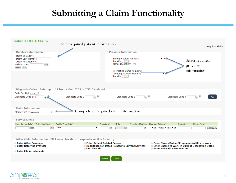#### **Submitting a Claim Functionality**

| <b>Submit HCFA Claim</b><br>Enter required patient information<br>*Required Fields                                                                         |                                                                                                                                                                                                                                |                                            |  |  |  |  |  |
|------------------------------------------------------------------------------------------------------------------------------------------------------------|--------------------------------------------------------------------------------------------------------------------------------------------------------------------------------------------------------------------------------|--------------------------------------------|--|--|--|--|--|
| <b>Member Information</b>                                                                                                                                  | <b>Provider Information</b>                                                                                                                                                                                                    |                                            |  |  |  |  |  |
| Patient Id Code*<br>Patient Last Name*<br>Patient First Name*<br>Patient DOB*<br>$\overline{\bullet}$<br>Search Clear                                      | Billing Provider Name*<br>$\mathbf{v}$ (<br>Location* $\boxed{\mathbf{v}}$ (<br>Other Identifier* $\boxed{\mathbf{v}}$<br>Treating Same As Billing<br>Treating Provider Name*<br>▼<br>Location* $\boxed{\mathbf{v}}$           | Select required<br>provider<br>information |  |  |  |  |  |
| Diagnosis Codes - Enter up to 12 from either ICD9 or ICD10 code set                                                                                        |                                                                                                                                                                                                                                |                                            |  |  |  |  |  |
| Code Set List (ICD10 V<br>$\mathcal{R}$<br>Diagnosis Code 2<br>Diagnosis Code 1*                                                                           | 28<br>Diagnosis Code 3<br>Diagnosis Code 4                                                                                                                                                                                     | 28<br>Add                                  |  |  |  |  |  |
| <b>Claim Information</b><br>Complete all required claim information<br>Claim type* Professional<br>$\overline{\mathbf{v}}$                                 |                                                                                                                                                                                                                                |                                            |  |  |  |  |  |
| <b>Service Line(s)</b>                                                                                                                                     |                                                                                                                                                                                                                                |                                            |  |  |  |  |  |
| Facility Type Code*<br>From Service Date* To Service Date*<br>Procedure*                                                                                   | Procedure Modifiers Diagnosis Pointers*<br>NDC's<br>Quantity*                                                                                                                                                                  | Charge Amt*                                |  |  |  |  |  |
| $\overline{\phantom{a}}$<br><br>Office<br>▼                                                                                                                | Q<br>o<br>Q<br>$A \times (2) \times (2) \times (2) \times (2)$<br>$\sqrt{2}$<br>$\vert$ 1                                                                                                                                      | Add Delete                                 |  |  |  |  |  |
|                                                                                                                                                            |                                                                                                                                                                                                                                |                                            |  |  |  |  |  |
| Other Claim Information - Click on a checkbox to expand a section for entry                                                                                |                                                                                                                                                                                                                                |                                            |  |  |  |  |  |
| <b>Example 1</b> Enter Patient Related Causes<br><b>Enter Other Coverage</b><br><b>Enter Referring Provider</b><br>Outside Lab<br>■ Enter File Attachments | <b>Enter Illness/Injury/Pregnancy/Ability to Work</b><br><b>E Hospitalization Dates Related to Current Services</b><br><b>Enter Unable to Work in Current Occupation Dates</b><br><b>Example 1 Enter Medicaid Resubmission</b> |                                            |  |  |  |  |  |
| Submit                                                                                                                                                     | Cancel                                                                                                                                                                                                                         |                                            |  |  |  |  |  |
|                                                                                                                                                            |                                                                                                                                                                                                                                |                                            |  |  |  |  |  |

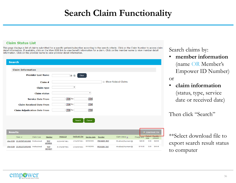#### **Search Claim Functionality**

#### **Claim Status List**

View EOB 2018058T1601900 Professional

View EOB 2018023T1043400 Professional

This page displays a list of claims submitted for a specific patient/subscriber according to the search criteria. Click on the Claim Number to access claim detail information. If available, click on the View EOB link to view benefit information for a claim. Click on the member name to view member detail information. Click on the provider name to view provider detail information.



**PROVIDER, TEST** 

**PROVIDER, TEST** 

02/20/2018

01/18/2018

1234567891

1234567891

Search claims by:

• **member information**  (name OR Member's Empower ID Number)

or

\$49.00

\$49.49

\$.00

 $$.00$ 

\$49.00

\$110.00

Finalized/Payment ?

Finalized/Payment ?

• **claim information**  (status, type, service date or received date)

Then click "Search"

\*\*Select download file to export search result status to computer



E1234567891

E1234567891

**TEST** 

**MEMBER** 

**TEST** 

**MEMBER**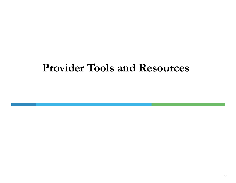# **Provider Tools and Resources**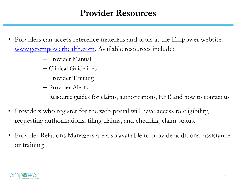#### **Provider Resources**

- Providers can access reference materials and tools at the Empower website: [www.getempowerhealth.com](http://www.getempowerhealth.com/). Available resources include:
	- Provider Manual
	- Clinical Guidelines
	- Provider Training
	- Provider Alerts
	- Resource guides for claims, authorizations, EFT, and how to contact us
- Providers who register for the web portal will have access to eligibility, requesting authorizations, filing claims, and checking claim status.
- Provider Relations Managers are also available to provide additional assistance or training.

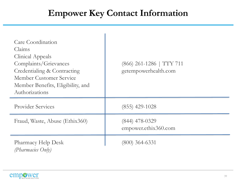## **Empower Key Contact Information**

| Care Coordination<br>Claims<br><b>Clinical Appeals</b><br>Complaints/Grievances<br>Credentialing & Contracting<br>Member Customer Service<br>Member Benefits, Eligibility, and<br>Authorizations | $(866)$ 261-1286   TTY 711<br>getempowerhealth.com |
|--------------------------------------------------------------------------------------------------------------------------------------------------------------------------------------------------|----------------------------------------------------|
| <b>Provider Services</b>                                                                                                                                                                         | $(855)$ 429-1028                                   |
| Fraud, Waste, Abuse (Ethix360)                                                                                                                                                                   | $(844)$ 478-0329<br>empower.ethix360.com           |
| <b>Pharmacy Help Desk</b><br>(Pharmacies Only)                                                                                                                                                   | $(800)$ 364-6331                                   |

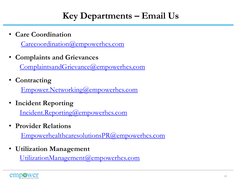• **Care Coordination** 

[Carecoordination@empowerhcs.com](mailto:Carecoordination@empowerhcs.com)

• **Complaints and Grievances** 

[ComplaintsandGrievance@empowerhcs.com](mailto:ComplaintsandGrievance@empowerhcs.com)

• **Contracting** 

[Empower.Networking@empowerhcs.com](mailto:Empower.Networking@empowerhcs.com)

• **Incident Reporting** 

[Incident.Reporting@empowerhcs.com](mailto:incident.reporting@empowerhcs.com)

• **Provider Relations**

[EmpowerhealthcaresolutionsPR@empowerhcs.com](mailto:EmpowerhealthcaresolutionsPR@empowerhcs.com)

• **Utilization Management**

[UtilizationManagement@empowerhcs.com](mailto:UtilizationManagement@empowerhcs.com)